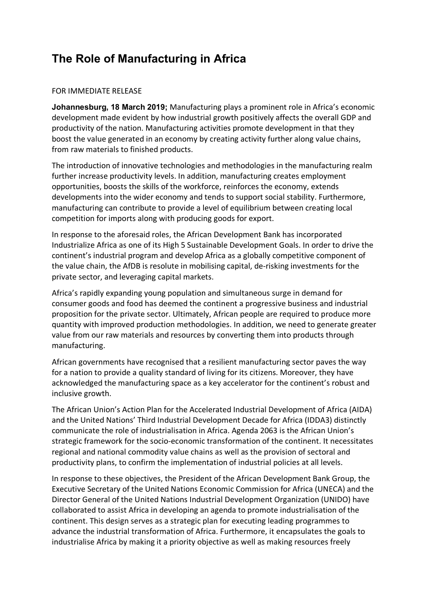## **The Role of Manufacturing in Africa**

## FOR IMMEDIATE RELEASE

**Johannesburg, 18 March 2019;** Manufacturing plays a prominent role in Africa's economic development made evident by how industrial growth positively affects the overall GDP and productivity of the nation. Manufacturing activities promote development in that they boost the value generated in an economy by creating activity further along value chains, from raw materials to finished products.

The introduction of innovative technologies and methodologies in the manufacturing realm further increase productivity levels. In addition, manufacturing creates employment opportunities, boosts the skills of the workforce, reinforces the economy, extends developments into the wider economy and tends to support social stability. Furthermore, manufacturing can contribute to provide a level of equilibrium between creating local competition for imports along with producing goods for export.

In response to the aforesaid roles, the African Development Bank has incorporated Industrialize Africa as one of its High 5 Sustainable Development Goals. In order to drive the continent's industrial program and develop Africa as a globally competitive component of the value chain, the AfDB is resolute in mobilising capital, de-risking investments for the private sector, and leveraging capital markets.

Africa's rapidly expanding young population and simultaneous surge in demand for consumer goods and food has deemed the continent a progressive business and industrial proposition for the private sector. Ultimately, African people are required to produce more quantity with improved production methodologies. In addition, we need to generate greater value from our raw materials and resources by converting them into products through manufacturing.

African governments have recognised that a resilient manufacturing sector paves the way for a nation to provide a quality standard of living for its citizens. Moreover, they have acknowledged the manufacturing space as a key accelerator for the continent's robust and inclusive growth.

The African Union's Action Plan for the Accelerated Industrial Development of Africa (AIDA) and the United Nations' Third Industrial Development Decade for Africa (IDDA3) distinctly communicate the role of industrialisation in Africa. Agenda 2063 is the African Union's strategic framework for the socio-economic transformation of the continent. It necessitates regional and national commodity value chains as well as the provision of sectoral and productivity plans, to confirm the implementation of industrial policies at all levels.

In response to these objectives, the President of the African Development Bank Group, the Executive Secretary of the United Nations Economic Commission for Africa (UNECA) and the Director General of the United Nations Industrial Development Organization (UNIDO) have collaborated to assist Africa in developing an agenda to promote industrialisation of the continent. This design serves as a strategic plan for executing leading programmes to advance the industrial transformation of Africa. Furthermore, it encapsulates the goals to industrialise Africa by making it a priority objective as well as making resources freely